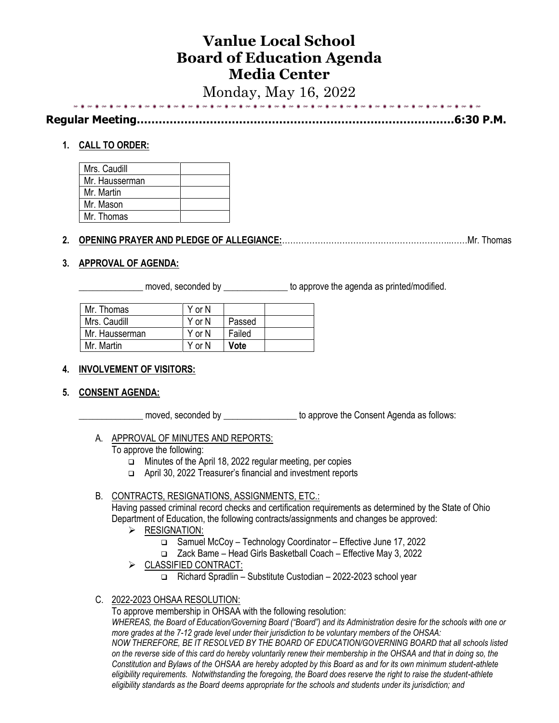# **Vanlue Local School Board of Education Agenda Media Center**

Monday, May 16, 2022

| 그는 그는 그만 아니라 아이들이 아니라 그만 아니라 그만 없다. |  |
|-------------------------------------|--|

**Regular Meeting……………………………………………………………………………6:30 P.M.**

# **1. CALL TO ORDER:**

| Mrs. Caudill   |  |
|----------------|--|
| Mr. Hausserman |  |
| Mr. Martin     |  |
| Mr. Mason      |  |
| Mr. Thomas     |  |

# **2. OPENING PRAYER AND PLEDGE OF ALLEGIANCE:**……………………………………………………..……Mr. Thomas

# **3. APPROVAL OF AGENDA:**

moved, seconded by **Example 20** to approve the agenda as printed/modified.

| Mr. Thomas     | Y or N |             |  |
|----------------|--------|-------------|--|
| Mrs. Caudill   | YorN   | Passed      |  |
| Mr. Hausserman | Y or N | Failed      |  |
| Mr. Martin     | Y or N | <b>Vote</b> |  |

## **4. INVOLVEMENT OF VISITORS:**

## **5. CONSENT AGENDA:**

\_\_\_\_\_\_\_\_\_\_\_\_\_\_ moved, seconded by \_\_\_\_\_\_\_\_\_\_\_\_\_\_\_\_ to approve the Consent Agenda as follows:

## A. APPROVAL OF MINUTES AND REPORTS:

To approve the following:

- ❑ Minutes of the April 18, 2022 regular meeting, per copies
- ❑ April 30, 2022 Treasurer's financial and investment reports

## B. CONTRACTS, RESIGNATIONS, ASSIGNMENTS, ETC.:

Having passed criminal record checks and certification requirements as determined by the State of Ohio Department of Education, the following contracts/assignments and changes be approved:

- ➢ RESIGNATION:
	- ❑ Samuel McCoy Technology Coordinator Effective June 17, 2022
	- ❑ Zack Bame Head Girls Basketball Coach Effective May 3, 2022
- ➢ CLASSIFIED CONTRACT:
	- ❑ Richard Spradlin Substitute Custodian 2022-2023 school year

## C. 2022-2023 OHSAA RESOLUTION:

To approve membership in OHSAA with the following resolution:

*WHEREAS, the Board of Education/Governing Board ("Board") and its Administration desire for the schools with one or more grades at the 7-12 grade level under their jurisdiction to be voluntary members of the OHSAA: NOW THEREFORE, BE IT RESOLVED BY THE BOARD OF EDUCATION/GOVERNING BOARD that all schools listed on the reverse side of this card do hereby voluntarily renew their membership in the OHSAA and that in doing so, the Constitution and Bylaws of the OHSAA are hereby adopted by this Board as and for its own minimum student-athlete eligibility requirements. Notwithstanding the foregoing, the Board does reserve the right to raise the student-athlete eligibility standards as the Board deems appropriate for the schools and students under its jurisdiction; and*